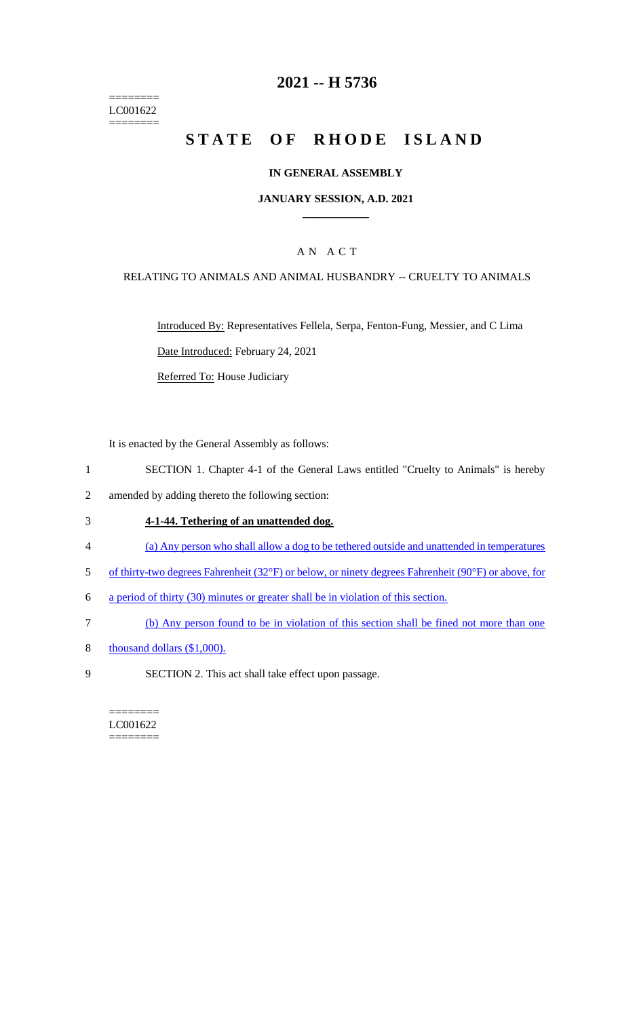======== LC001622  $=$ 

# **2021 -- H 5736**

# **STATE OF RHODE ISLAND**

### **IN GENERAL ASSEMBLY**

### **JANUARY SESSION, A.D. 2021 \_\_\_\_\_\_\_\_\_\_\_\_**

## A N A C T

### RELATING TO ANIMALS AND ANIMAL HUSBANDRY -- CRUELTY TO ANIMALS

Introduced By: Representatives Fellela, Serpa, Fenton-Fung, Messier, and C Lima Date Introduced: February 24, 2021

Referred To: House Judiciary

It is enacted by the General Assembly as follows:

- 1 SECTION 1. Chapter 4-1 of the General Laws entitled "Cruelty to Animals" is hereby
- 2 amended by adding thereto the following section:

#### 3 **4-1-44. Tethering of an unattended dog.**

- 4 (a) Any person who shall allow a dog to be tethered outside and unattended in temperatures
- 5 of thirty-two degrees Fahrenheit (32°F) or below, or ninety degrees Fahrenheit (90°F) or above, for
- 6 a period of thirty (30) minutes or greater shall be in violation of this section.
- 7 (b) Any person found to be in violation of this section shall be fined not more than one
- 8 thousand dollars (\$1,000).
- 9 SECTION 2. This act shall take effect upon passage.

======== LC001622 ========